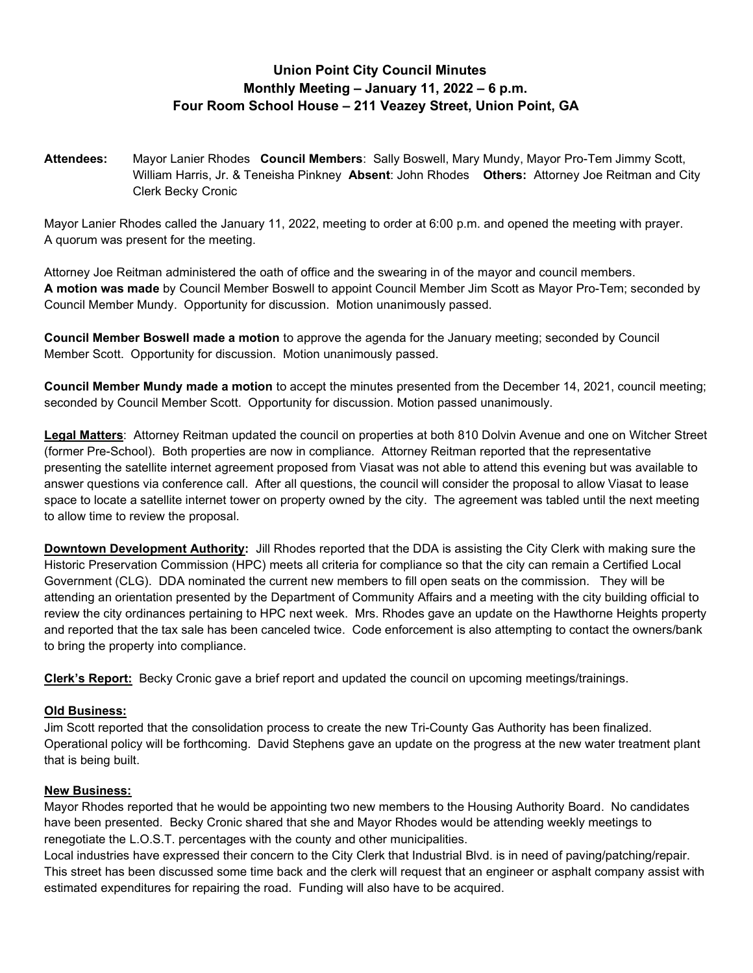## Union Point City Council Minutes Monthly Meeting – January 11, 2022 – 6 p.m. Four Room School House – 211 Veazey Street, Union Point, GA

Attendees: Mayor Lanier Rhodes Council Members: Sally Boswell, Mary Mundy, Mayor Pro-Tem Jimmy Scott, William Harris, Jr. & Teneisha Pinkney Absent: John Rhodes Others: Attorney Joe Reitman and City Clerk Becky Cronic

Mayor Lanier Rhodes called the January 11, 2022, meeting to order at 6:00 p.m. and opened the meeting with prayer. A quorum was present for the meeting.

Attorney Joe Reitman administered the oath of office and the swearing in of the mayor and council members. A motion was made by Council Member Boswell to appoint Council Member Jim Scott as Mayor Pro-Tem; seconded by Council Member Mundy. Opportunity for discussion. Motion unanimously passed.

Council Member Boswell made a motion to approve the agenda for the January meeting; seconded by Council Member Scott. Opportunity for discussion. Motion unanimously passed.

Council Member Mundy made a motion to accept the minutes presented from the December 14, 2021, council meeting; seconded by Council Member Scott. Opportunity for discussion. Motion passed unanimously.

Legal Matters: Attorney Reitman updated the council on properties at both 810 Dolvin Avenue and one on Witcher Street (former Pre-School). Both properties are now in compliance. Attorney Reitman reported that the representative presenting the satellite internet agreement proposed from Viasat was not able to attend this evening but was available to answer questions via conference call. After all questions, the council will consider the proposal to allow Viasat to lease space to locate a satellite internet tower on property owned by the city. The agreement was tabled until the next meeting to allow time to review the proposal.

Downtown Development Authority: Jill Rhodes reported that the DDA is assisting the City Clerk with making sure the Historic Preservation Commission (HPC) meets all criteria for compliance so that the city can remain a Certified Local Government (CLG). DDA nominated the current new members to fill open seats on the commission. They will be attending an orientation presented by the Department of Community Affairs and a meeting with the city building official to review the city ordinances pertaining to HPC next week. Mrs. Rhodes gave an update on the Hawthorne Heights property and reported that the tax sale has been canceled twice. Code enforcement is also attempting to contact the owners/bank to bring the property into compliance.

Clerk's Report: Becky Cronic gave a brief report and updated the council on upcoming meetings/trainings.

## Old Business:

Jim Scott reported that the consolidation process to create the new Tri-County Gas Authority has been finalized. Operational policy will be forthcoming. David Stephens gave an update on the progress at the new water treatment plant that is being built.

## New Business:

Mayor Rhodes reported that he would be appointing two new members to the Housing Authority Board. No candidates have been presented. Becky Cronic shared that she and Mayor Rhodes would be attending weekly meetings to renegotiate the L.O.S.T. percentages with the county and other municipalities.

Local industries have expressed their concern to the City Clerk that Industrial Blvd. is in need of paving/patching/repair. This street has been discussed some time back and the clerk will request that an engineer or asphalt company assist with estimated expenditures for repairing the road. Funding will also have to be acquired.